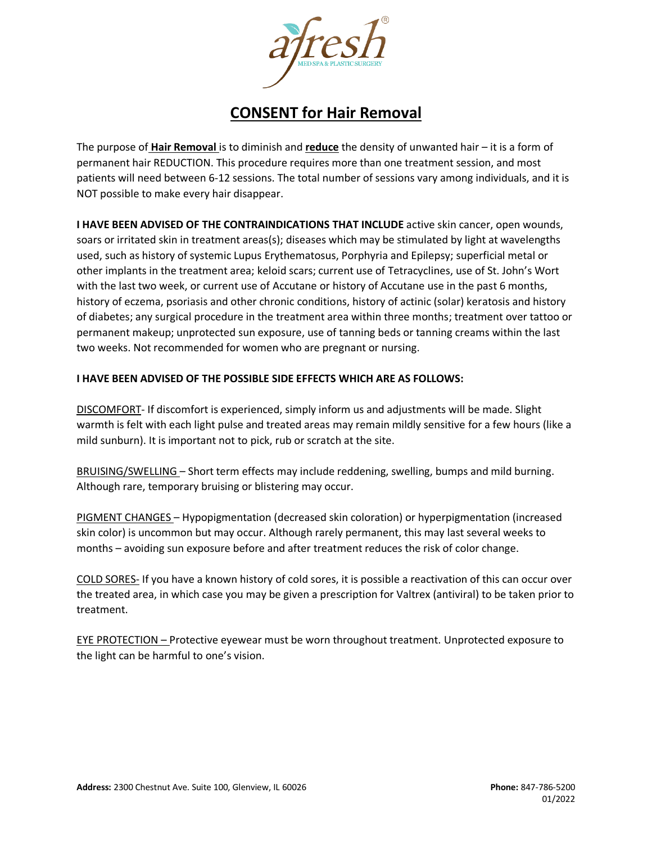

## **CONSENT for Hair Removal**

The purpose of **Hair Removal** is to diminish and **reduce** the density of unwanted hair – it is a form of permanent hair REDUCTION. This procedure requires more than one treatment session, and most patients will need between 6-12 sessions. The total number of sessions vary among individuals, and it is NOT possible to make every hair disappear.

**I HAVE BEEN ADVISED OF THE CONTRAINDICATIONS THAT INCLUDE** active skin cancer, open wounds, soars or irritated skin in treatment areas(s); diseases which may be stimulated by light at wavelengths used, such as history of systemic Lupus Erythematosus, Porphyria and Epilepsy; superficial metal or other implants in the treatment area; keloid scars; current use of Tetracyclines, use of St. John's Wort with the last two week, or current use of Accutane or history of Accutane use in the past 6 months, history of eczema, psoriasis and other chronic conditions, history of actinic (solar) keratosis and history of diabetes; any surgical procedure in the treatment area within three months; treatment over tattoo or permanent makeup; unprotected sun exposure, use of tanning beds or tanning creams within the last two weeks. Not recommended for women who are pregnant or nursing.

## **I HAVE BEEN ADVISED OF THE POSSIBLE SIDE EFFECTS WHICH ARE AS FOLLOWS:**

DISCOMFORT- If discomfort is experienced, simply inform us and adjustments will be made. Slight warmth is felt with each light pulse and treated areas may remain mildly sensitive for a few hours (like a mild sunburn). It is important not to pick, rub or scratch at the site.

BRUISING/SWELLING – Short term effects may include reddening, swelling, bumps and mild burning. Although rare, temporary bruising or blistering may occur.

PIGMENT CHANGES – Hypopigmentation (decreased skin coloration) or hyperpigmentation (increased skin color) is uncommon but may occur. Although rarely permanent, this may last several weeks to months – avoiding sun exposure before and after treatment reduces the risk of color change.

COLD SORES- If you have a known history of cold sores, it is possible a reactivation of this can occur over the treated area, in which case you may be given a prescription for Valtrex (antiviral) to be taken prior to treatment.

EYE PROTECTION – Protective eyewear must be worn throughout treatment. Unprotected exposure to the light can be harmful to one's vision.